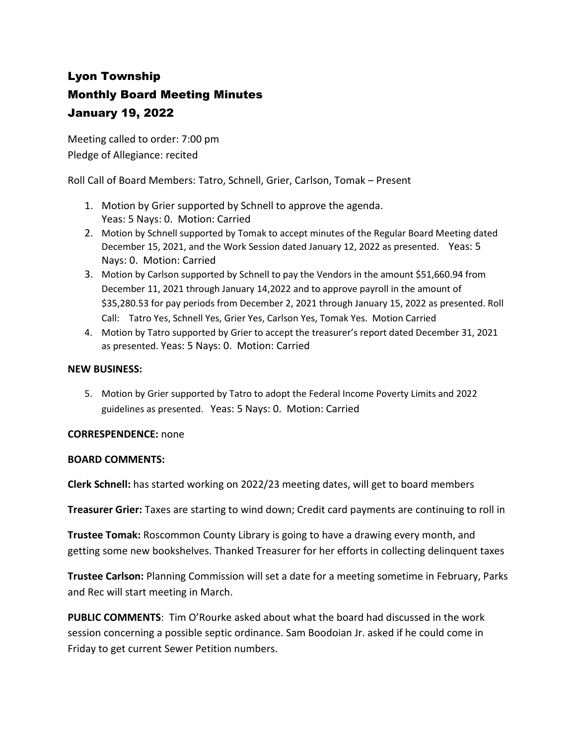## Lyon Township Monthly Board Meeting Minutes January 19, 2022

Meeting called to order: 7:00 pm Pledge of Allegiance: recited

Roll Call of Board Members: Tatro, Schnell, Grier, Carlson, Tomak – Present

- 1. Motion by Grier supported by Schnell to approve the agenda. Yeas: 5 Nays: 0. Motion: Carried
- 2. Motion by Schnell supported by Tomak to accept minutes of the Regular Board Meeting dated December 15, 2021, and the Work Session dated January 12, 2022 as presented. Yeas: 5 Nays: 0. Motion: Carried
- 3. Motion by Carlson supported by Schnell to pay the Vendors in the amount \$51,660.94 from December 11, 2021 through January 14,2022 and to approve payroll in the amount of \$35,280.53 for pay periods from December 2, 2021 through January 15, 2022 as presented. Roll Call: Tatro Yes, Schnell Yes, Grier Yes, Carlson Yes, Tomak Yes. Motion Carried
- 4. Motion by Tatro supported by Grier to accept the treasurer's report dated December 31, 2021 as presented. Yeas: 5 Nays: 0. Motion: Carried

## **NEW BUSINESS:**

5. Motion by Grier supported by Tatro to adopt the Federal Income Poverty Limits and 2022 guidelines as presented. Yeas: 5 Nays: 0. Motion: Carried

## **CORRESPENDENCE:** none

## **BOARD COMMENTS:**

**Clerk Schnell:** has started working on 2022/23 meeting dates, will get to board members

**Treasurer Grier:** Taxes are starting to wind down; Credit card payments are continuing to roll in

**Trustee Tomak:** Roscommon County Library is going to have a drawing every month, and getting some new bookshelves. Thanked Treasurer for her efforts in collecting delinquent taxes

**Trustee Carlson:** Planning Commission will set a date for a meeting sometime in February, Parks and Rec will start meeting in March.

**PUBLIC COMMENTS**: Tim O'Rourke asked about what the board had discussed in the work session concerning a possible septic ordinance. Sam Boodoian Jr. asked if he could come in Friday to get current Sewer Petition numbers.